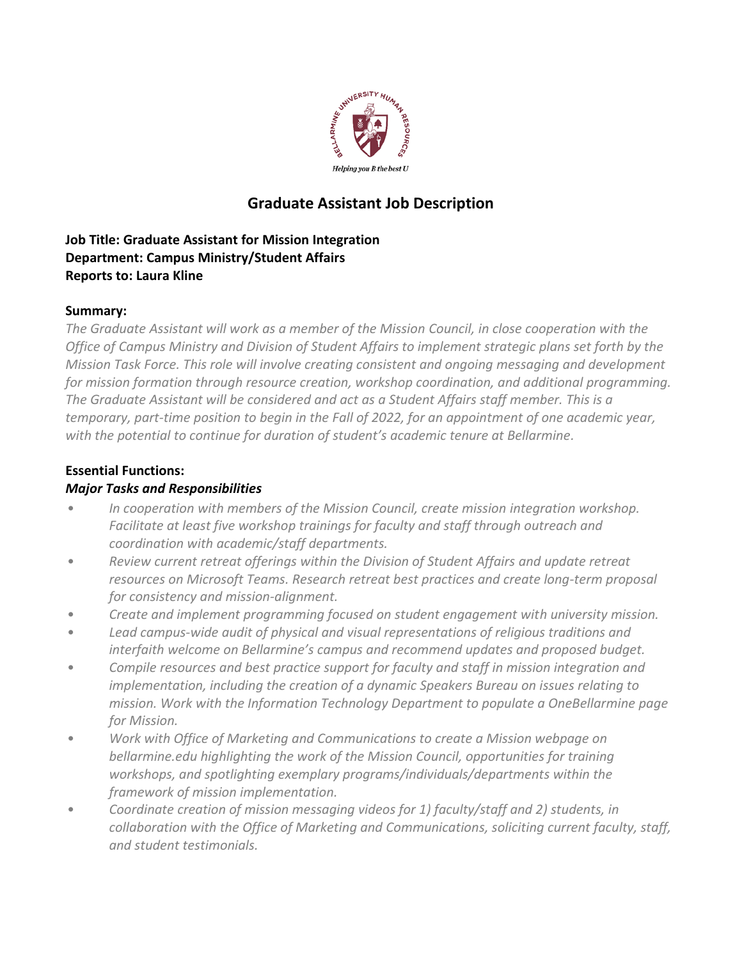

# **Graduate Assistant Job Description**

# **Job Title: Graduate Assistant for Mission Integration Department: Campus Ministry/Student Affairs Reports to: Laura Kline**

#### **Summary:**

*The Graduate Assistant will work as a member of the Mission Council, in close cooperation with the Office of Campus Ministry and Division of Student Affairs to implement strategic plans set forth by the Mission Task Force. This role will involve creating consistent and ongoing messaging and development for mission formation through resource creation, workshop coordination, and additional programming. The Graduate Assistant will be considered and act as a Student Affairs staff member. This is a temporary, part-time position to begin in the Fall of 2022, for an appointment of one academic year, with the potential to continue for duration of student's academic tenure at Bellarmine.*

#### **Essential Functions:**

## *Major Tasks and Responsibilities*

- *In cooperation with members of the Mission Council, create mission integration workshop. Facilitate at least five workshop trainings for faculty and staff through outreach and coordination with academic/staff departments.*
- *Review current retreat offerings within the Division of Student Affairs and update retreat resources on Microsoft Teams. Research retreat best practices and create long-term proposal for consistency and mission-alignment.*
- *Create and implement programming focused on student engagement with university mission.*
- *Lead campus-wide audit of physical and visual representations of religious traditions and interfaith welcome on Bellarmine's campus and recommend updates and proposed budget.*
- *Compile resources and best practice support for faculty and staff in mission integration and implementation, including the creation of a dynamic Speakers Bureau on issues relating to mission. Work with the Information Technology Department to populate a OneBellarmine page for Mission.*
- *Work with Office of Marketing and Communications to create a Mission webpage on bellarmine.edu highlighting the work of the Mission Council, opportunities for training workshops, and spotlighting exemplary programs/individuals/departments within the framework of mission implementation.*
- *Coordinate creation of mission messaging videos for 1) faculty/staff and 2) students, in collaboration with the Office of Marketing and Communications, soliciting current faculty, staff, and student testimonials.*